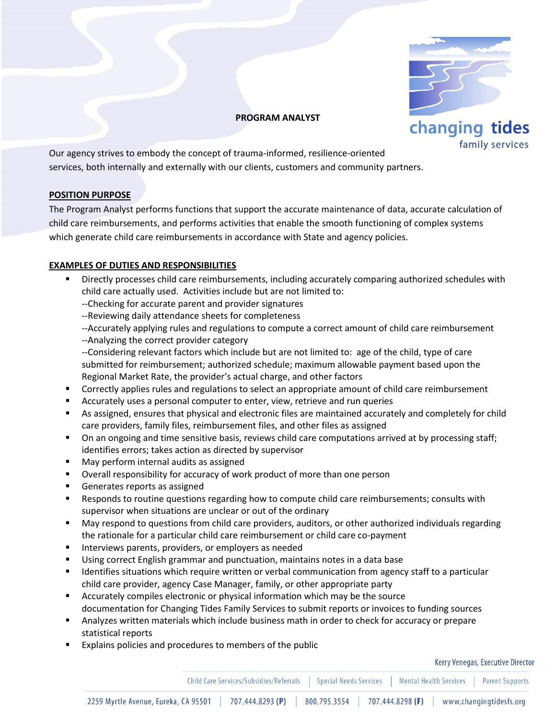

### **PROGRAM ANALYST**

Our agency strives to embody the concept of trauma-informed, resilience-oriented services, both internally and externally with our clients, customers and community partners.

# **POSITION PURPOSE**

The Program Analyst performs functions that support the accurate maintenance of data, accurate calculation of child care reimbursements, and performs activities that enable the smooth functioning of complex systems which generate child care reimbursements in accordance with State and agency policies.

## **EXAMPLES OF DUTIES AND RESPONSIBILITIES**

- Directly processes child care reimbursements, including accurately comparing authorized schedules with child care actually used. Activities include but are not limited to:
	- --Checking for accurate parent and provider signatures
	- --Reviewing daily attendance sheets for completeness
	- --Accurately applying rules and regulations to compute a correct amount of child care reimbursement --Analyzing the correct provider category
	- --Considering relevant factors which include but are not limited to: age of the child, type of care submitted for reimbursement; authorized schedule; maximum allowable payment based upon the Regional Market Rate, the provider's actual charge, and other factors
- **Correctly applies rules and regulations to select an appropriate amount of child care reimbursement**
- Accurately uses a personal computer to enter, view, retrieve and run queries
- As assigned, ensures that physical and electronic files are maintained accurately and completely for child care providers, family files, reimbursement files, and other files as assigned
- **Deal** On an ongoing and time sensitive basis, reviews child care computations arrived at by processing staff; identifies errors; takes action as directed by supervisor
- **May perform internal audits as assigned**
- Overall responsibility for accuracy of work product of more than one person
- Generates reports as assigned
- Responds to routine questions regarding how to compute child care reimbursements; consults with supervisor when situations are unclear or out of the ordinary
- May respond to questions from child care providers, auditors, or other authorized individuals regarding the rationale for a particular child care reimbursement or child care co-payment
- **Interviews parents, providers, or employers as needed**
- Using correct English grammar and punctuation, maintains notes in a data base
- **If all identifies situations which require written or verbal communication from agency staff to a particular** child care provider, agency Case Manager, family, or other appropriate party
- Accurately compiles electronic or physical information which may be the source documentation for Changing Tides Family Services to submit reports or invoices to funding sources
- Analyzes written materials which include business math in order to check for accuracy or prepare statistical reports
- Explains policies and procedures to members of the public

#### Kerry Venegas, Executive Director